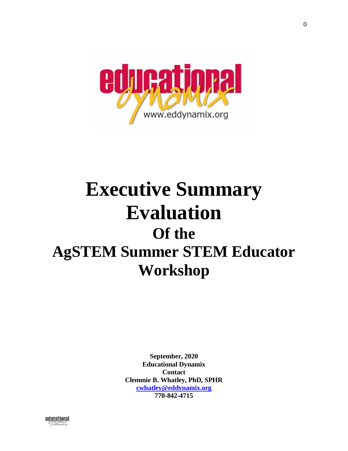

# **Executive Summary Evaluation Of the AgSTEM Summer STEM Educator Workshop**

**September, 2020 Educational Dynamix Contact Clemmie B. Whatley, PhD, SPHR [cwhatley@eddynamix.org](mailto:cwhatley@eddynamix.org) 770-842-4715**



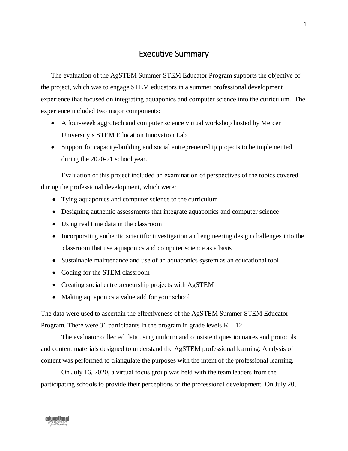# Executive Summary

The evaluation of the AgSTEM Summer STEM Educator Program supports the objective of the project, which was to engage STEM educators in a summer professional development experience that focused on integrating aquaponics and computer science into the curriculum. The experience included two major components:

- A four-week aggrotech and computer science virtual workshop hosted by Mercer University's STEM Education Innovation Lab
- Support for capacity-building and social entrepreneurship projects to be implemented during the 2020-21 school year.

Evaluation of this project included an examination of perspectives of the topics covered during the professional development, which were:

- Tying aquaponics and computer science to the curriculum
- Designing authentic assessments that integrate aquaponics and computer science
- Using real time data in the classroom
- Incorporating authentic scientific investigation and engineering design challenges into the classroom that use aquaponics and computer science as a basis
- Sustainable maintenance and use of an aquaponics system as an educational tool
- Coding for the STEM classroom
- Creating social entrepreneurship projects with AgSTEM
- Making aquaponics a value add for your school

The data were used to ascertain the effectiveness of the AgSTEM Summer STEM Educator Program. There were 31 participants in the program in grade levels  $K - 12$ .

The evaluator collected data using uniform and consistent questionnaires and protocols and content materials designed to understand the AgSTEM professional learning. Analysis of content was performed to triangulate the purposes with the intent of the professional learning.

On July 16, 2020, a virtual focus group was held with the team leaders from the participating schools to provide their perceptions of the professional development. On July 20,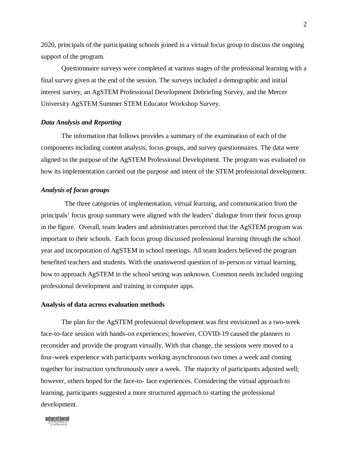2020, principals of the participating schools joined in a virtual focus group to discuss the ongoing support of the program.

Questionnaire surveys were completed at various stages of the professional learning with a final survey given at the end of the session. The surveys included a demographic and initial interest survey, an AgSTEM Professional Development Debriefing Survey, and the Mercer University AgSTEM Summer STEM Educator Workshop Survey.

#### *Data Analysis and Reporting*

The information that follows provides a summary of the examination of each of the components including content analysis, focus groups, and survey questionnaires. The data were aligned to the purpose of the AgSTEM Professional Development. The program was evaluated on how its implementation carried out the purpose and intent of the STEM professional development.

#### *Analysis of focus groups*

The three categories of implementation, virtual learning, and communication from the principals' focus group summary were aligned with the leaders' dialogue from their focus group in the figure. Overall, team leaders and administrators perceived that the AgSTEM program was important to their schools. Each focus group discussed professional learning through the school year and incorporation of AgSTEM in school meetings. All team leaders believed the program benefited teachers and students. With the unanswered question of in-person or virtual learning, how to approach AgSTEM in the school setting was unknown. Common needs included ongoing professional development and training in computer apps.

#### **Analysis of data across evaluation methods**

The plan for the AgSTEM professional development was first envisioned as a two-week face-to-face session with hands-on experiences; however, COVID-19 caused the planners to reconsider and provide the program virtually. With that change, the sessions were moved to a four-week experience with participants working asynchronous two times a week and coming together for instruction synchronously once a week. The majority of participants adjusted well; however, others hoped for the face-to- face experiences. Considering the virtual approach to learning, participants suggested a more structured approach to starting the professional development.

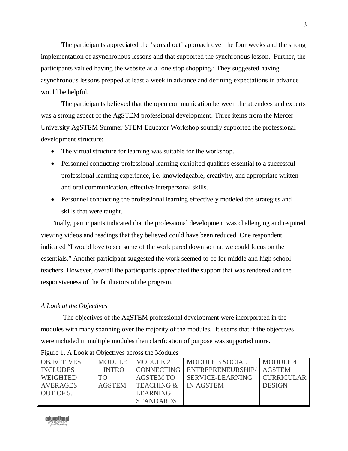The participants appreciated the 'spread out' approach over the four weeks and the strong implementation of asynchronous lessons and that supported the synchronous lesson. Further, the participants valued having the website as a 'one stop shopping.' They suggested having asynchronous lessons prepped at least a week in advance and defining expectations in advance would be helpful.

The participants believed that the open communication between the attendees and experts was a strong aspect of the AgSTEM professional development. Three items from the Mercer University AgSTEM Summer STEM Educator Workshop soundly supported the professional development structure:

- The virtual structure for learning was suitable for the workshop.
- Personnel conducting professional learning exhibited qualities essential to a successful professional learning experience, i.e. knowledgeable, creativity, and appropriate written and oral communication, effective interpersonal skills.
- Personnel conducting the professional learning effectively modeled the strategies and skills that were taught.

Finally, participants indicated that the professional development was challenging and required viewing videos and readings that they believed could have been reduced. One respondent indicated "I would love to see some of the work pared down so that we could focus on the essentials." Another participant suggested the work seemed to be for middle and high school teachers. However, overall the participants appreciated the support that was rendered and the responsiveness of the facilitators of the program.

## *A Look at the Objectives*

The objectives of the AgSTEM professional development were incorporated in the modules with many spanning over the majority of the modules. It seems that if the objectives were included in multiple modules then clarification of purpose was supported more.

| <b>OBJECTIVES</b> | <b>MODULE</b> | MODULE 2              | <b>MODULE 3 SOCIAL</b>     | <b>MODULE 4</b>   |
|-------------------|---------------|-----------------------|----------------------------|-------------------|
| <b>INCLUDES</b>   | 1 INTRO       | CONNECTING            | ENTREPRENEURSHIP/   AGSTEM |                   |
| <b>WEIGHTED</b>   | TO.           | AGSTEM TO             | SERVICE-LEARNING           | <b>CURRICULAR</b> |
| AVERAGES          | <b>AGSTEM</b> | <b>TEACHING &amp;</b> | IN AGSTEM                  | <b>DESIGN</b>     |
| OUT OF 5.         |               | <b>LEARNING</b>       |                            |                   |
|                   |               | <b>STANDARDS</b>      |                            |                   |

Figure 1. A Look at Objectives across the Modules

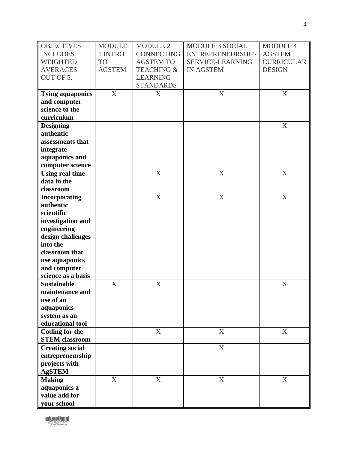| <b>OBJECTIVES</b>       | <b>MODULE</b>    | MODULE 2                  | <b>MODULE 3 SOCIAL</b> | <b>MODULE 4</b>   |
|-------------------------|------------------|---------------------------|------------------------|-------------------|
| <b>INCLUDES</b>         | 1 INTRO          | <b>CONNECTING</b>         | ENTREPRENEURSHIP/      | <b>AGSTEM</b>     |
| <b>WEIGHTED</b>         | <b>TO</b>        | <b>AGSTEM TO</b>          | SERVICE-LEARNING       | <b>CURRICULAR</b> |
| <b>AVERAGES</b>         | <b>AGSTEM</b>    | <b>TEACHING &amp;</b>     | <b>IN AGSTEM</b>       | <b>DESIGN</b>     |
| OUT OF 5.               |                  | <b>LEARNING</b>           |                        |                   |
|                         |                  | <b>STANDARDS</b>          |                        |                   |
| <b>Tying aquaponics</b> | X                | X                         | $\boldsymbol{X}$       | $\mathbf X$       |
| and computer            |                  |                           |                        |                   |
| science to the          |                  |                           |                        |                   |
| curriculum              |                  |                           |                        |                   |
| <b>Designing</b>        |                  |                           |                        | X                 |
| authentic               |                  |                           |                        |                   |
| assessments that        |                  |                           |                        |                   |
| integrate               |                  |                           |                        |                   |
| aquaponics and          |                  |                           |                        |                   |
| computer science        |                  |                           |                        |                   |
| <b>Using real time</b>  |                  | $\mathbf X$               | X                      | $\mathbf X$       |
| data in the             |                  |                           |                        |                   |
| classroom               |                  |                           |                        |                   |
| Incorporating           |                  | $\boldsymbol{\mathrm{X}}$ | X                      | X                 |
| authentic               |                  |                           |                        |                   |
| scientific              |                  |                           |                        |                   |
| investigation and       |                  |                           |                        |                   |
| engineering             |                  |                           |                        |                   |
| design challenges       |                  |                           |                        |                   |
| into the                |                  |                           |                        |                   |
| classroom that          |                  |                           |                        |                   |
| use aquaponics          |                  |                           |                        |                   |
| and computer            |                  |                           |                        |                   |
| science as a basis      |                  |                           |                        |                   |
| <b>Sustainable</b>      | $\boldsymbol{X}$ | $\boldsymbol{\mathrm{X}}$ |                        | X                 |
| maintenance and         |                  |                           |                        |                   |
| use of an               |                  |                           |                        |                   |
| aquaponics              |                  |                           |                        |                   |
| system as an            |                  |                           |                        |                   |
| educational tool        |                  |                           |                        |                   |
| <b>Coding for the</b>   |                  | X                         | X                      | $\boldsymbol{X}$  |
| <b>STEM</b> classroom   |                  |                           |                        |                   |
| <b>Creating social</b>  |                  |                           | X                      |                   |
| entrepreneurship        |                  |                           |                        |                   |
| projects with           |                  |                           |                        |                   |
| <b>AgSTEM</b>           |                  |                           |                        |                   |
| <b>Making</b>           | X                | X                         | X                      | $\mathbf X$       |
| aquaponics a            |                  |                           |                        |                   |
| value add for           |                  |                           |                        |                   |
| your school             |                  |                           |                        |                   |

educational